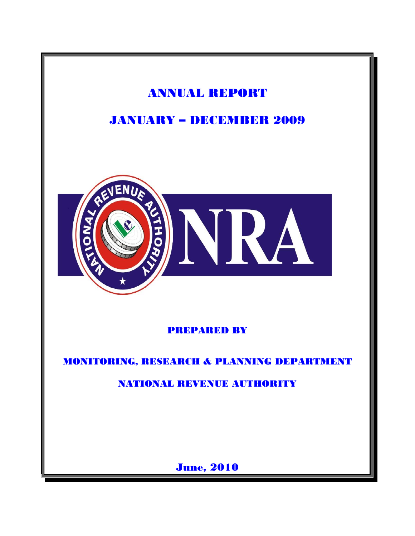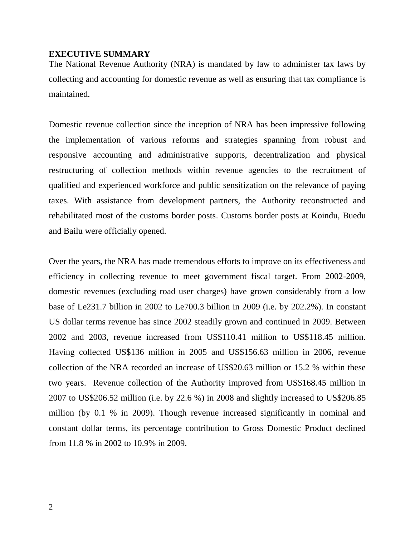#### **EXECUTIVE SUMMARY**

The National Revenue Authority (NRA) is mandated by law to administer tax laws by collecting and accounting for domestic revenue as well as ensuring that tax compliance is maintained.

Domestic revenue collection since the inception of NRA has been impressive following the implementation of various reforms and strategies spanning from robust and responsive accounting and administrative supports, decentralization and physical restructuring of collection methods within revenue agencies to the recruitment of qualified and experienced workforce and public sensitization on the relevance of paying taxes. With assistance from development partners, the Authority reconstructed and rehabilitated most of the customs border posts. Customs border posts at Koindu, Buedu and Bailu were officially opened.

Over the years, the NRA has made tremendous efforts to improve on its effectiveness and efficiency in collecting revenue to meet government fiscal target. From 2002-2009, domestic revenues (excluding road user charges) have grown considerably from a low base of Le231.7 billion in 2002 to Le700.3 billion in 2009 (i.e. by 202.2%). In constant US dollar terms revenue has since 2002 steadily grown and continued in 2009. Between 2002 and 2003, revenue increased from US\$110.41 million to US\$118.45 million. Having collected US\$136 million in 2005 and US\$156.63 million in 2006, revenue collection of the NRA recorded an increase of US\$20.63 million or 15.2 % within these two years. Revenue collection of the Authority improved from US\$168.45 million in 2007 to US\$206.52 million (i.e. by 22.6 %) in 2008 and slightly increased to US\$206.85 million (by 0.1 % in 2009). Though revenue increased significantly in nominal and constant dollar terms, its percentage contribution to Gross Domestic Product declined from 11.8 % in 2002 to 10.9% in 2009.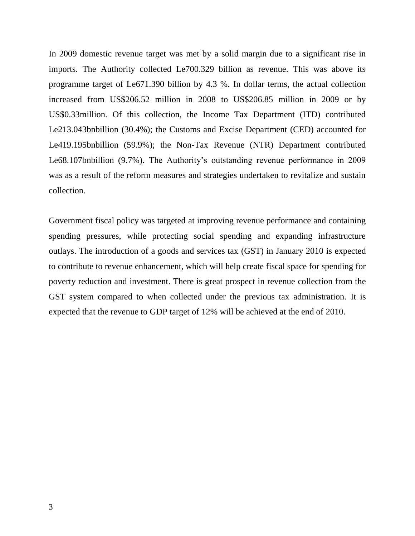In 2009 domestic revenue target was met by a solid margin due to a significant rise in imports. The Authority collected Le700.329 billion as revenue. This was above its programme target of Le671.390 billion by 4.3 %. In dollar terms, the actual collection increased from US\$206.52 million in 2008 to US\$206.85 million in 2009 or by US\$0.33million. Of this collection, the Income Tax Department (ITD) contributed Le213.043bnbillion (30.4%); the Customs and Excise Department (CED) accounted for Le419.195bnbillion (59.9%); the Non-Tax Revenue (NTR) Department contributed Le68.107bnbillion (9.7%). The Authority's outstanding revenue performance in 2009 was as a result of the reform measures and strategies undertaken to revitalize and sustain collection.

Government fiscal policy was targeted at improving revenue performance and containing spending pressures, while protecting social spending and expanding infrastructure outlays. The introduction of a goods and services tax (GST) in January 2010 is expected to contribute to revenue enhancement, which will help create fiscal space for spending for poverty reduction and investment. There is great prospect in revenue collection from the GST system compared to when collected under the previous tax administration. It is expected that the revenue to GDP target of 12% will be achieved at the end of 2010.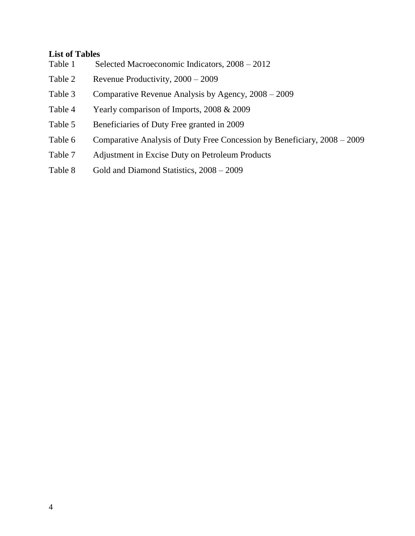### **List of Tables**

- Table 1 Selected Macroeconomic Indicators, 2008 2012 Table 2 Revenue Productivity, 2000 – 2009 Table 3 Comparative Revenue Analysis by Agency, 2008 – 2009 Table 4 Yearly comparison of Imports, 2008 & 2009 Table 5 Beneficiaries of Duty Free granted in 2009
- Table 6 Comparative Analysis of Duty Free Concession by Beneficiary, 2008 2009
- Table 7 Adjustment in Excise Duty on Petroleum Products
- Table 8 Gold and Diamond Statistics,  $2008 2009$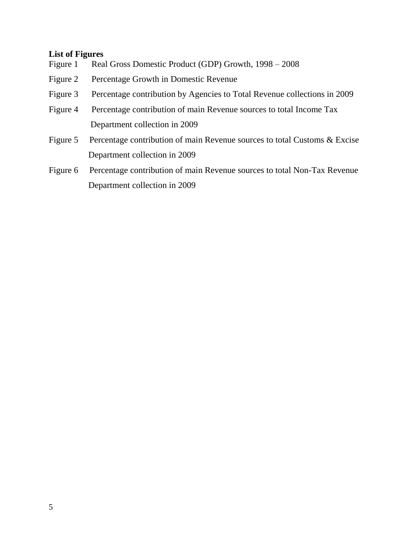## **List of Figures**

- Figure 1 Real Gross Domestic Product (GDP) Growth, 1998 2008
- Figure 2 Percentage Growth in Domestic Revenue
- Figure 3 Percentage contribution by Agencies to Total Revenue collections in 2009
- Figure 4 Percentage contribution of main Revenue sources to total Income Tax Department collection in 2009
- Figure 5 Percentage contribution of main Revenue sources to total Customs & Excise Department collection in 2009
- Figure 6 Percentage contribution of main Revenue sources to total Non-Tax Revenue Department collection in 2009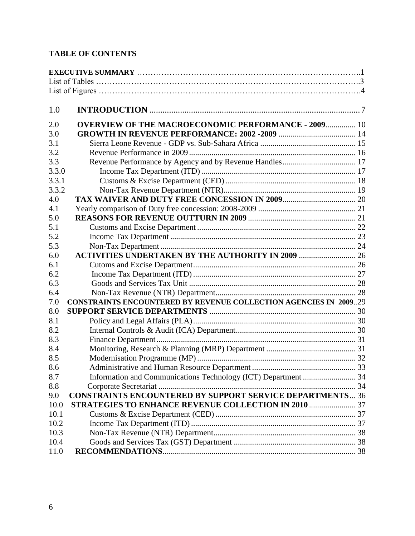# **TABLE OF CONTENTS**

| 1.0   |                                                                         |  |
|-------|-------------------------------------------------------------------------|--|
| 2.0   | <b>OVERVIEW OF THE MACROECONOMIC PERFORMANCE - 2009 10</b>              |  |
| 3.0   |                                                                         |  |
| 3.1   |                                                                         |  |
| 3.2   |                                                                         |  |
| 3.3   |                                                                         |  |
| 3.3.0 |                                                                         |  |
| 3.3.1 |                                                                         |  |
| 3.3.2 |                                                                         |  |
| 4.0   |                                                                         |  |
| 4.1   |                                                                         |  |
| 5.0   |                                                                         |  |
| 5.1   |                                                                         |  |
| 5.2   |                                                                         |  |
| 5.3   |                                                                         |  |
| 6.0   | <b>ACTIVITIES UNDERTAKEN BY THE AUTHORITY IN 2009  26</b>               |  |
| 6.1   |                                                                         |  |
| 6.2   |                                                                         |  |
| 6.3   |                                                                         |  |
| 6.4   |                                                                         |  |
| 7.0   | <b>CONSTRAINTS ENCOUNTERED BY REVENUE COLLECTION AGENCIES IN 200929</b> |  |
| 8.0   |                                                                         |  |
| 8.1   |                                                                         |  |
| 8.2   |                                                                         |  |
| 8.3   |                                                                         |  |
| 8.4   |                                                                         |  |
| 8.5   |                                                                         |  |
| 8.6   |                                                                         |  |
| 8.7   | Information and Communications Technology (ICT) Department  34          |  |
| 8.8   |                                                                         |  |
| 9.0   | <b>CONSTRAINTS ENCOUNTERED BY SUPPORT SERVICE DEPARTMENTS 36</b>        |  |
| 10.0  | STRATEGIES TO ENHANCE REVENUE COLLECTION IN 2010  37                    |  |
| 10.1  |                                                                         |  |
| 10.2  |                                                                         |  |
| 10.3  |                                                                         |  |
| 10.4  |                                                                         |  |
| 11.0  |                                                                         |  |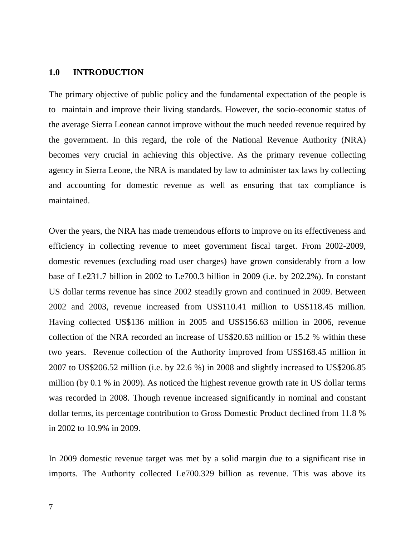#### <span id="page-6-0"></span>**1.0 INTRODUCTION**

The primary objective of public policy and the fundamental expectation of the people is to maintain and improve their living standards. However, the socio-economic status of the average Sierra Leonean cannot improve without the much needed revenue required by the government. In this regard, the role of the National Revenue Authority (NRA) becomes very crucial in achieving this objective. As the primary revenue collecting agency in Sierra Leone, the NRA is mandated by law to administer tax laws by collecting and accounting for domestic revenue as well as ensuring that tax compliance is maintained.

Over the years, the NRA has made tremendous efforts to improve on its effectiveness and efficiency in collecting revenue to meet government fiscal target. From 2002-2009, domestic revenues (excluding road user charges) have grown considerably from a low base of Le231.7 billion in 2002 to Le700.3 billion in 2009 (i.e. by 202.2%). In constant US dollar terms revenue has since 2002 steadily grown and continued in 2009. Between 2002 and 2003, revenue increased from US\$110.41 million to US\$118.45 million. Having collected US\$136 million in 2005 and US\$156.63 million in 2006, revenue collection of the NRA recorded an increase of US\$20.63 million or 15.2 % within these two years. Revenue collection of the Authority improved from US\$168.45 million in 2007 to US\$206.52 million (i.e. by 22.6 %) in 2008 and slightly increased to US\$206.85 million (by 0.1 % in 2009). As noticed the highest revenue growth rate in US dollar terms was recorded in 2008. Though revenue increased significantly in nominal and constant dollar terms, its percentage contribution to Gross Domestic Product declined from 11.8 % in 2002 to 10.9% in 2009.

In 2009 domestic revenue target was met by a solid margin due to a significant rise in imports. The Authority collected Le700.329 billion as revenue. This was above its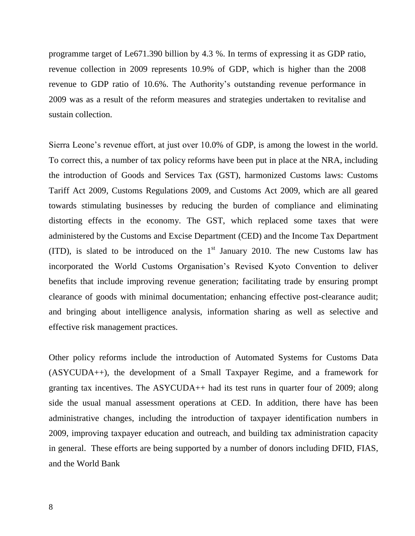programme target of Le671.390 billion by 4.3 %. In terms of expressing it as GDP ratio, revenue collection in 2009 represents 10.9% of GDP, which is higher than the 2008 revenue to GDP ratio of 10.6%. The Authority's outstanding revenue performance in 2009 was as a result of the reform measures and strategies undertaken to revitalise and sustain collection.

Sierra Leone's revenue effort, at just over 10.0% of GDP, is among the lowest in the world. To correct this, a number of tax policy reforms have been put in place at the NRA, including the introduction of Goods and Services Tax (GST), harmonized Customs laws: Customs Tariff Act 2009, Customs Regulations 2009, and Customs Act 2009, which are all geared towards stimulating businesses by reducing the burden of compliance and eliminating distorting effects in the economy. The GST, which replaced some taxes that were administered by the Customs and Excise Department (CED) and the Income Tax Department (ITD), is slated to be introduced on the  $1<sup>st</sup>$  January 2010. The new Customs law has incorporated the World Customs Organisation's Revised Kyoto Convention to deliver benefits that include improving revenue generation; facilitating trade by ensuring prompt clearance of goods with minimal documentation; enhancing effective post-clearance audit; and bringing about intelligence analysis, information sharing as well as selective and effective risk management practices.

Other policy reforms include the introduction of Automated Systems for Customs Data (ASYCUDA++), the development of a Small Taxpayer Regime, and a framework for granting tax incentives. The ASYCUDA++ had its test runs in quarter four of 2009; along side the usual manual assessment operations at CED. In addition, there have has been administrative changes, including the introduction of taxpayer identification numbers in 2009, improving taxpayer education and outreach, and building tax administration capacity in general. These efforts are being supported by a number of donors including DFID, FIAS, and the World Bank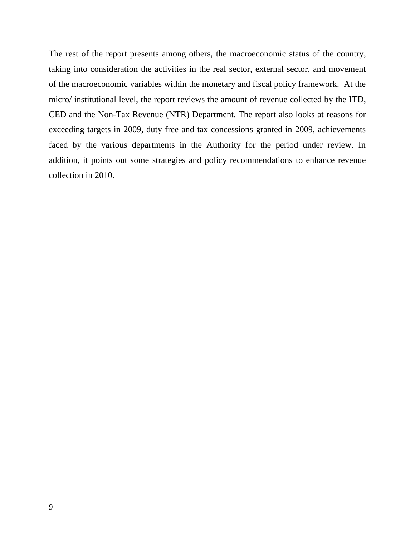The rest of the report presents among others, the macroeconomic status of the country, taking into consideration the activities in the real sector, external sector, and movement of the macroeconomic variables within the monetary and fiscal policy framework. At the micro/ institutional level, the report reviews the amount of revenue collected by the ITD, CED and the Non-Tax Revenue (NTR) Department. The report also looks at reasons for exceeding targets in 2009, duty free and tax concessions granted in 2009, achievements faced by the various departments in the Authority for the period under review. In addition, it points out some strategies and policy recommendations to enhance revenue collection in 2010.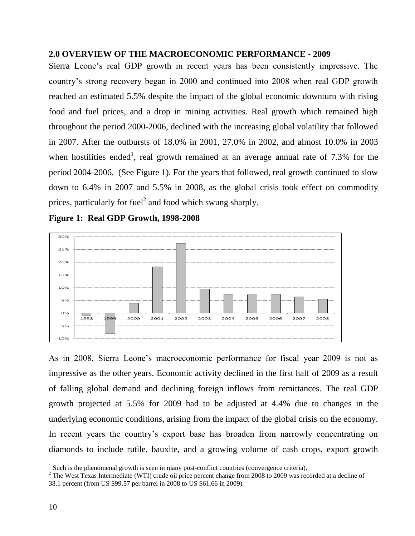### <span id="page-9-0"></span>**2.0 OVERVIEW OF THE MACROECONOMIC PERFORMANCE - 2009**

Sierra Leone's real GDP growth in recent years has been consistently impressive. The country's strong recovery began in 2000 and continued into 2008 when real GDP growth reached an estimated 5.5% despite the impact of the global economic downturn with rising food and fuel prices, and a drop in mining activities. Real growth which remained high throughout the period 2000-2006, declined with the increasing global volatility that followed in 2007. After the outbursts of 18.0% in 2001, 27.0% in 2002, and almost 10.0% in 2003 when hostilities ended<sup>1</sup>, real growth remained at an average annual rate of 7.3% for the period 2004-2006. (See Figure 1). For the years that followed, real growth continued to slow down to 6.4% in 2007 and 5.5% in 2008, as the global crisis took effect on commodity prices, particularly for fuel<sup>2</sup> and food which swung sharply.





As in 2008, Sierra Leone's macroeconomic performance for fiscal year 2009 is not as impressive as the other years. Economic activity declined in the first half of 2009 as a result of falling global demand and declining foreign inflows from remittances. The real GDP growth projected at 5.5% for 2009 had to be adjusted at 4.4% due to changes in the underlying economic conditions, arising from the impact of the global crisis on the economy. In recent years the country's export base has broaden from narrowly concentrating on diamonds to include rutile, bauxite, and a growing volume of cash crops, export growth

 $\overline{a}$ 

 $<sup>1</sup>$  Such is the phenomenal growth is seen in many post-conflict countries (convergence criteria).</sup>

<sup>&</sup>lt;sup>2</sup> The West Texas Intermediate (WTI) crude oil price percent change from 2008 to 2009 was recorded at a decline of 38.1 percent (from US \$99.57 per barrel in 2008 to US \$61.66 in 2009).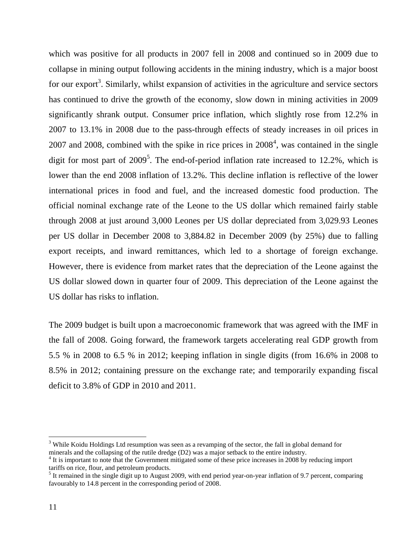which was positive for all products in 2007 fell in 2008 and continued so in 2009 due to collapse in mining output following accidents in the mining industry, which is a major boost for our export<sup>3</sup>. Similarly, whilst expansion of activities in the agriculture and service sectors has continued to drive the growth of the economy, slow down in mining activities in 2009 significantly shrank output. Consumer price inflation, which slightly rose from 12.2% in 2007 to 13.1% in 2008 due to the pass-through effects of steady increases in oil prices in 2007 and 2008, combined with the spike in rice prices in  $2008<sup>4</sup>$ , was contained in the single digit for most part of  $2009^5$ . The end-of-period inflation rate increased to 12.2%, which is lower than the end 2008 inflation of 13.2%. This decline inflation is reflective of the lower international prices in food and fuel, and the increased domestic food production. The official nominal exchange rate of the Leone to the US dollar which remained fairly stable through 2008 at just around 3,000 Leones per US dollar depreciated from 3,029.93 Leones per US dollar in December 2008 to 3,884.82 in December 2009 (by 25%) due to falling export receipts, and inward remittances, which led to a shortage of foreign exchange. However, there is evidence from market rates that the depreciation of the Leone against the US dollar slowed down in quarter four of 2009. This depreciation of the Leone against the US dollar has risks to inflation.

The 2009 budget is built upon a macroeconomic framework that was agreed with the IMF in the fall of 2008. Going forward, the framework targets accelerating real GDP growth from 5.5 % in 2008 to 6.5 % in 2012; keeping inflation in single digits (from 16.6% in 2008 to 8.5% in 2012; containing pressure on the exchange rate; and temporarily expanding fiscal deficit to 3.8% of GDP in 2010 and 2011.

 $\overline{a}$ 

<sup>&</sup>lt;sup>3</sup> While Koidu Holdings Ltd resumption was seen as a revamping of the sector, the fall in global demand for minerals and the collapsing of the rutile dredge (D2) was a major setback to the entire industry.

<sup>&</sup>lt;sup>4</sup> It is important to note that the Government mitigated some of these price increases in 2008 by reducing import tariffs on rice, flour, and petroleum products.

 $<sup>5</sup>$  It remained in the single digit up to August 2009, with end period year-on-year inflation of 9.7 percent, comparing</sup> favourably to 14.8 percent in the corresponding period of 2008.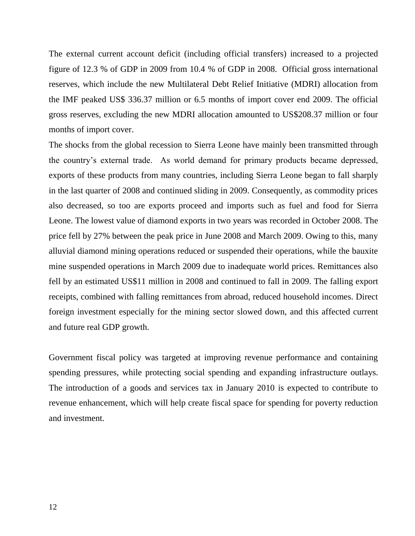The external current account deficit (including official transfers) increased to a projected figure of 12.3 % of GDP in 2009 from 10.4 % of GDP in 2008. Official gross international reserves, which include the new Multilateral Debt Relief Initiative (MDRI) allocation from the IMF peaked US\$ 336.37 million or 6.5 months of import cover end 2009. The official gross reserves, excluding the new MDRI allocation amounted to US\$208.37 million or four months of import cover.

The shocks from the global recession to Sierra Leone have mainly been transmitted through the country's external trade. As world demand for primary products became depressed, exports of these products from many countries, including Sierra Leone began to fall sharply in the last quarter of 2008 and continued sliding in 2009. Consequently, as commodity prices also decreased, so too are exports proceed and imports such as fuel and food for Sierra Leone. The lowest value of diamond exports in two years was recorded in October 2008. The price fell by 27% between the peak price in June 2008 and March 2009. Owing to this, many alluvial diamond mining operations reduced or suspended their operations, while the bauxite mine suspended operations in March 2009 due to inadequate world prices. Remittances also fell by an estimated US\$11 million in 2008 and continued to fall in 2009. The falling export receipts, combined with falling remittances from abroad, reduced household incomes. Direct foreign investment especially for the mining sector slowed down, and this affected current and future real GDP growth.

Government fiscal policy was targeted at improving revenue performance and containing spending pressures, while protecting social spending and expanding infrastructure outlays. The introduction of a goods and services tax in January 2010 is expected to contribute to revenue enhancement, which will help create fiscal space for spending for poverty reduction and investment.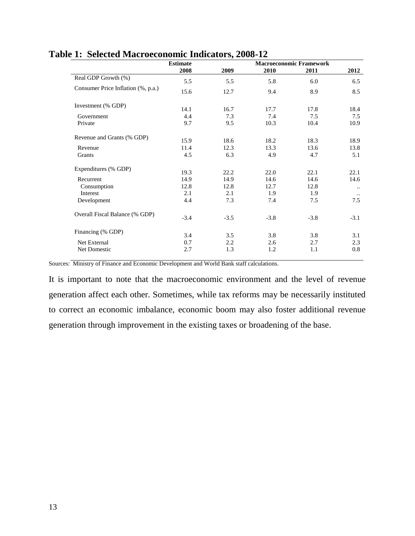|                                    | <b>Estimate</b> |              |              | <b>Macroeconomic Framework</b> |           |
|------------------------------------|-----------------|--------------|--------------|--------------------------------|-----------|
|                                    | 2008            | 2009         | 2010         | 2011                           | 2012      |
| Real GDP Growth (%)                | 5.5             | 5.5          | 5.8          | 6.0                            | 6.5       |
| Consumer Price Inflation (%, p.a.) | 15.6            | 12.7         | 9.4          | 8.9                            | 8.5       |
| Investment (% GDP)                 | 14.1            | 16.7         | 17.7         | 17.8                           | 18.4      |
| Government                         | 4.4             | 7.3          | 7.4          | 7.5                            | 7.5       |
| Private                            | 9.7             | 9.5          | 10.3         | 10.4                           | 10.9      |
| Revenue and Grants (% GDP)         | 15.9            | 18.6         | 18.2         | 18.3                           | 18.9      |
| Revenue                            | 11.4            | 12.3         | 13.3         | 13.6                           | 13.8      |
| Grants                             | 4.5             | 6.3          | 4.9          | 4.7                            | 5.1       |
| Expenditures (% GDP)               |                 |              |              |                                | 22.1      |
| Recurrent                          | 19.3<br>14.9    | 22.2<br>14.9 | 22.0<br>14.6 | 22.1<br>14.6                   | 14.6      |
| Consumption                        | 12.8            | 12.8         | 12.7         | 12.8                           | $\ddotsc$ |
| Interest                           | 2.1             | 2.1          | 1.9          | 1.9                            | $\ldots$  |
| Development                        | 4.4             | 7.3          | 7.4          | 7.5                            | 7.5       |
| Overall Fiscal Balance (% GDP)     | $-3.4$          | $-3.5$       | $-3.8$       | $-3.8$                         | $-3.1$    |
| Financing (% GDP)                  | 3.4             | 3.5          | 3.8          | 3.8                            | 3.1       |
| Net External                       | 0.7             | 2.2          | 2.6          | 2.7                            | 2.3       |
| Net Domestic                       | 2.7             | 1.3          | 1.2          | 1.1                            | 0.8       |

### **Table 1: Selected Macroeconomic Indicators, 2008-12**

Sources: Ministry of Finance and Economic Development and World Bank staff calculations.

It is important to note that the macroeconomic environment and the level of revenue generation affect each other. Sometimes, while tax reforms may be necessarily instituted to correct an economic imbalance, economic boom may also foster additional revenue generation through improvement in the existing taxes or broadening of the base.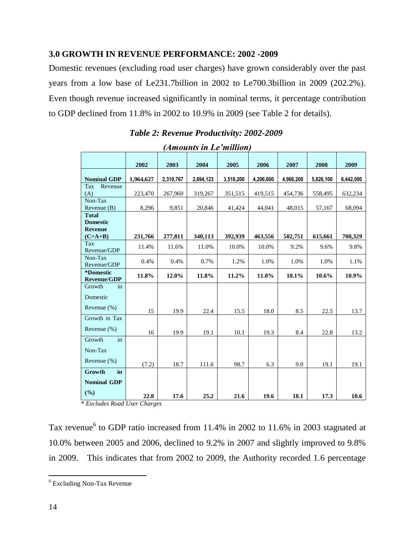## <span id="page-13-0"></span>**3.0 GROWTH IN REVENUE PERFORMANCE: 2002 -2009**

Domestic revenues (excluding road user charges) have grown considerably over the past years from a low base of Le231.7billion in 2002 to Le700.3billion in 2009 (202.2%). Even though revenue increased significantly in nominal terms, it percentage contribution to GDP declined from 11.8% in 2002 to 10.9% in 2009 (see Table 2 for details).

| (Amounts in Le'million)                                        |           |           |           |           |           |           |           |           |
|----------------------------------------------------------------|-----------|-----------|-----------|-----------|-----------|-----------|-----------|-----------|
|                                                                | 2002      | 2003      | 2004      | 2005      | 2006      | 2007      | 2008      | 2009      |
| <b>Nominal GDP</b>                                             | 1,964,627 | 2,310,767 | 2,894,123 | 3,518,200 | 4,206,600 | 4,966,200 | 5,826,100 | 6,442,000 |
| Tax<br>Revenue<br>(A)                                          | 223,470   | 267,960   | 319,267   | 351,515   | 419,515   | 454,736   | 558,495   | 632,234   |
| Non-Tax<br>Revenue $(B)$                                       | 8,296     | 9,851     | 20,846    | 41,424    | 44,041    | 48,015    | 57,167    | 68,094    |
| <b>Total</b><br><b>Domestic</b><br><b>Revenue</b><br>$(C=A+B)$ | 231,766   | 277,811   | 340,113   | 392,939   | 463,556   | 502,751   | 615,661   | 700,329   |
| Tax                                                            | 11.4%     | 11.6%     | 11.0%     | 10.0%     | 10.0%     | 9.2%      | 9.6%      | 9.8%      |
| Revenue/GDP<br>Non-Tax<br>Revenue/GDP                          | 0.4%      | 0.4%      | 0.7%      | 1.2%      | 1.0%      | 1.0%      | 1.0%      | 1.1%      |
| *Domestic<br><b>Revenue/GDP</b>                                | 11.8%     | 12.0%     | 11.8%     | 11.2%     | $11.0\%$  | $10.1\%$  | 10.6%     | 10.9%     |
| Growth<br>in<br>Domestic                                       |           |           |           |           |           |           |           |           |
| Revenue $(\%)$                                                 | 15        | 19.9      | 22.4      | 15.5      | 18.0      | 8.5       | 22.5      | 13.7      |
| Growth in Tax                                                  |           |           |           |           |           |           |           |           |
| Revenue (%)                                                    | 16        | 19.9      | 19.1      | 10.1      | 19.3      | 8.4       | 22.8      | 13.2      |
| Growth<br>in                                                   |           |           |           |           |           |           |           |           |
| Non-Tax                                                        |           |           |           |           |           |           |           |           |
| Revenue (%)                                                    | (7.2)     | 18.7      | 111.6     | 98.7      | 6.3       | 9.0       | 19.1      | 19.1      |
| Growth<br>in                                                   |           |           |           |           |           |           |           |           |
| <b>Nominal GDP</b>                                             |           |           |           |           |           |           |           |           |
| (%)                                                            | 22.8      | 17.6      | 25.2      | 21.6      | 19.6      | 18.1      | 17.3      | 10.6      |

 *Table 2: Revenue Productivity: 2002-2009* 

*\* Excludes Road User Charges*

Tax revenue<sup>6</sup> to GDP ratio increased from 11.4% in 2002 to 11.6% in 2003 stagnated at 10.0% between 2005 and 2006, declined to 9.2% in 2007 and slightly improved to 9.8% in 2009. This indicates that from 2002 to 2009, the Authority recorded 1.6 percentage

 $\overline{a}$ 

<sup>6</sup> Excluding Non-Tax Revenue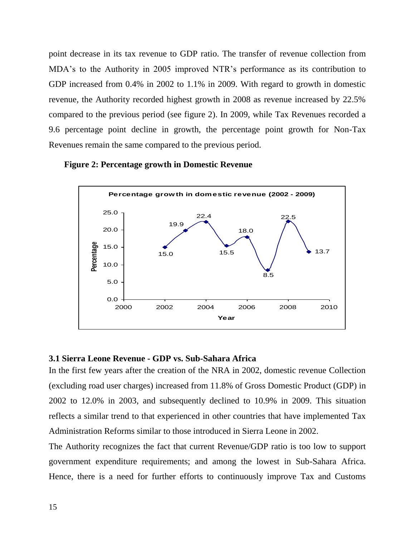point decrease in its tax revenue to GDP ratio. The transfer of revenue collection from MDA's to the Authority in 2005 improved NTR's performance as its contribution to GDP increased from 0.4% in 2002 to 1.1% in 2009. With regard to growth in domestic revenue, the Authority recorded highest growth in 2008 as revenue increased by 22.5% compared to the previous period (see figure 2). In 2009, while Tax Revenues recorded a 9.6 percentage point decline in growth, the percentage point growth for Non-Tax Revenues remain the same compared to the previous period.





### <span id="page-14-0"></span>**3.1 Sierra Leone Revenue - GDP vs. Sub-Sahara Africa**

In the first few years after the creation of the NRA in 2002, domestic revenue Collection (excluding road user charges) increased from 11.8% of Gross Domestic Product (GDP) in 2002 to 12.0% in 2003, and subsequently declined to 10.9% in 2009. This situation reflects a similar trend to that experienced in other countries that have implemented Tax Administration Reforms similar to those introduced in Sierra Leone in 2002.

The Authority recognizes the fact that current Revenue/GDP ratio is too low to support government expenditure requirements; and among the lowest in Sub-Sahara Africa. Hence, there is a need for further efforts to continuously improve Tax and Customs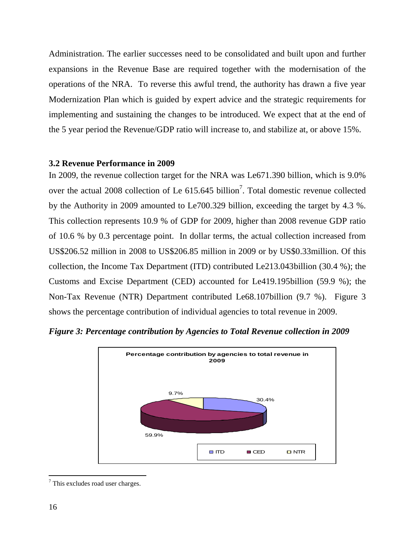Administration. The earlier successes need to be consolidated and built upon and further expansions in the Revenue Base are required together with the modernisation of the operations of the NRA. To reverse this awful trend, the authority has drawn a five year Modernization Plan which is guided by expert advice and the strategic requirements for implementing and sustaining the changes to be introduced. We expect that at the end of the 5 year period the Revenue/GDP ratio will increase to, and stabilize at, or above 15%.

### <span id="page-15-0"></span>**3.2 Revenue Performance in 2009**

In 2009, the revenue collection target for the NRA was Le671.390 billion, which is 9.0% over the actual 2008 collection of Le  $615.645$  billion<sup>7</sup>. Total domestic revenue collected by the Authority in 2009 amounted to Le700.329 billion, exceeding the target by 4.3 %. This collection represents 10.9 % of GDP for 2009, higher than 2008 revenue GDP ratio of 10.6 % by 0.3 percentage point. In dollar terms, the actual collection increased from US\$206.52 million in 2008 to US\$206.85 million in 2009 or by US\$0.33million. Of this collection, the Income Tax Department (ITD) contributed Le213.043billion (30.4 %); the Customs and Excise Department (CED) accounted for Le419.195billion (59.9 %); the Non-Tax Revenue (NTR) Department contributed Le68.107billion (9.7 %). Figure 3 shows the percentage contribution of individual agencies to total revenue in 2009.





 $7$  This excludes road user charges.

 $\overline{a}$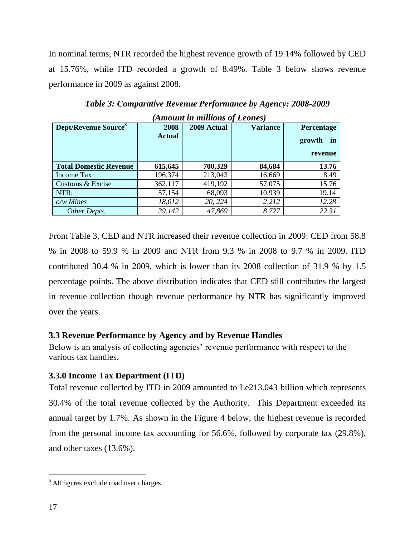In nominal terms, NTR recorded the highest revenue growth of 19.14% followed by CED at 15.76%, while ITD recorded a growth of 8.49%. Table 3 below shows revenue performance in 2009 as against 2008.

| Amount in muttons of Leones)            |               |             |                 |                   |  |  |  |  |
|-----------------------------------------|---------------|-------------|-----------------|-------------------|--|--|--|--|
| <b>Dept/Revenue Source</b> <sup>8</sup> | 2008          | 2009 Actual | <b>Variance</b> | <b>Percentage</b> |  |  |  |  |
|                                         | <b>Actual</b> |             |                 | growth<br>in      |  |  |  |  |
|                                         |               |             |                 | revenue           |  |  |  |  |
| <b>Total Domestic Revenue</b>           | 615,645       | 700,329     | 84,684          | 13.76             |  |  |  |  |
| Income Tax                              | 196,374       | 213,043     | 16,669          | 8.49              |  |  |  |  |
| Customs & Excise                        | 362.117       | 419,192     | 57,075          | 15.76             |  |  |  |  |
| NTR:                                    | 57,154        | 68,093      | 10,939          | 19.14             |  |  |  |  |
| $o/w$ Mines                             | 18,012        | 20, 224     | 2,212           | 12.28             |  |  |  |  |
| Other Depts.                            | 39,142        | 47,869      | 8,727           | 22.31             |  |  |  |  |

*Table 3: Comparative Revenue Performance by Agency: 2008-2009 (Amount in millions of Leones)*

From Table 3, CED and NTR increased their revenue collection in 2009: CED from 58.8 % in 2008 to 59.9 % in 2009 and NTR from 9.3 % in 2008 to 9.7 % in 2009. ITD contributed 30.4 % in 2009, which is lower than its 2008 collection of 31.9 % by 1.5 percentage points. The above distribution indicates that CED still contributes the largest in revenue collection though revenue performance by NTR has significantly improved over the years.

## <span id="page-16-0"></span>**3.3 Revenue Performance by Agency and by Revenue Handles**

Below is an analysis of collecting agencies' revenue performance with respect to the various tax handles.

# <span id="page-16-1"></span>**3.3.0 Income Tax Department (ITD)**

Total revenue collected by ITD in 2009 amounted to Le213.043 billion which represents 30.4% of the total revenue collected by the Authority. This Department exceeded its annual target by 1.7%. As shown in the Figure 4 below, the highest revenue is recorded from the personal income tax accounting for 56.6%, followed by corporate tax (29.8%), and other taxes (13.6%).

 $\overline{a}$ 

<sup>8</sup> All figures exclude road user charges.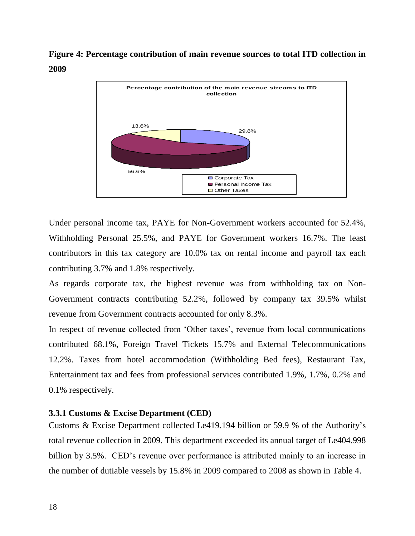**Figure 4: Percentage contribution of main revenue sources to total ITD collection in 2009**



Under personal income tax, PAYE for Non-Government workers accounted for 52.4%, Withholding Personal 25.5%, and PAYE for Government workers 16.7%. The least contributors in this tax category are 10.0% tax on rental income and payroll tax each contributing 3.7% and 1.8% respectively.

As regards corporate tax, the highest revenue was from withholding tax on Non-Government contracts contributing 52.2%, followed by company tax 39.5% whilst revenue from Government contracts accounted for only 8.3%.

In respect of revenue collected from 'Other taxes', revenue from local communications contributed 68.1%, Foreign Travel Tickets 15.7% and External Telecommunications 12.2%. Taxes from hotel accommodation (Withholding Bed fees), Restaurant Tax, Entertainment tax and fees from professional services contributed 1.9%, 1.7%, 0.2% and 0.1% respectively.

### <span id="page-17-0"></span>**3.3.1 Customs & Excise Department (CED)**

Customs & Excise Department collected Le419.194 billion or 59.9 % of the Authority's total revenue collection in 2009. This department exceeded its annual target of Le404.998 billion by 3.5%. CED's revenue over performance is attributed mainly to an increase in the number of dutiable vessels by 15.8% in 2009 compared to 2008 as shown in Table 4.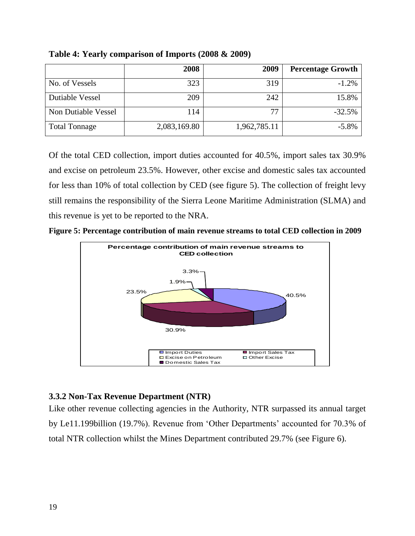|                        | 2008         | 2009         | <b>Percentage Growth</b> |
|------------------------|--------------|--------------|--------------------------|
| No. of Vessels         | 323          | 319          | $-1.2%$                  |
| <b>Dutiable Vessel</b> | 209          | 242          | 15.8%                    |
| Non Dutiable Vessel    | 114          | 77           | $-32.5%$                 |
| <b>Total Tonnage</b>   | 2,083,169.80 | 1,962,785.11 | $-5.8\%$                 |

**Table 4: Yearly comparison of Imports (2008 & 2009)**

Of the total CED collection, import duties accounted for 40.5%, import sales tax 30.9% and excise on petroleum 23.5%. However, other excise and domestic sales tax accounted for less than 10% of total collection by CED (see figure 5). The collection of freight levy still remains the responsibility of the Sierra Leone Maritime Administration (SLMA) and this revenue is yet to be reported to the NRA.





### <span id="page-18-0"></span>**3.3.2 Non-Tax Revenue Department (NTR)**

Like other revenue collecting agencies in the Authority, NTR surpassed its annual target by Le11.199billion (19.7%). Revenue from 'Other Departments' accounted for 70.3% of total NTR collection whilst the Mines Department contributed 29.7% (see Figure 6).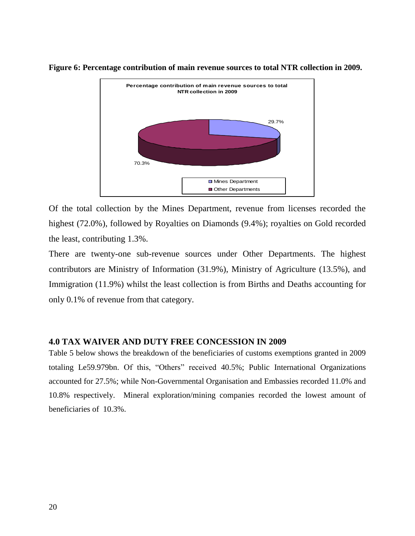

**Figure 6: Percentage contribution of main revenue sources to total NTR collection in 2009.**

Of the total collection by the Mines Department, revenue from licenses recorded the highest (72.0%), followed by Royalties on Diamonds (9.4%); royalties on Gold recorded the least, contributing 1.3%.

There are twenty-one sub-revenue sources under Other Departments. The highest contributors are Ministry of Information (31.9%), Ministry of Agriculture (13.5%), and Immigration (11.9%) whilst the least collection is from Births and Deaths accounting for only 0.1% of revenue from that category.

### <span id="page-19-0"></span>**4.0 TAX WAIVER AND DUTY FREE CONCESSION IN 2009**

Table 5 below shows the breakdown of the beneficiaries of customs exemptions granted in 2009 totaling Le59.979bn. Of this, "Others" received 40.5%; Public International Organizations accounted for 27.5%; while Non-Governmental Organisation and Embassies recorded 11.0% and 10.8% respectively. Mineral exploration/mining companies recorded the lowest amount of beneficiaries of 10.3%.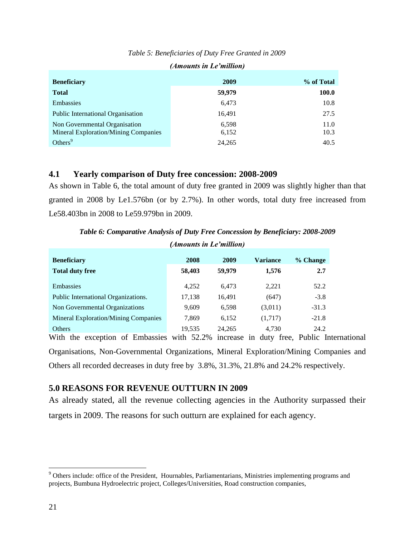| <b>Beneficiary</b>                          | 2009   | % of Total |
|---------------------------------------------|--------|------------|
| <b>Total</b>                                | 59,979 | 100.0      |
| Embassies                                   | 6,473  | 10.8       |
| <b>Public International Organisation</b>    | 16,491 | 27.5       |
| Non Governmental Organisation               | 6,598  | 11.0       |
| <b>Mineral Exploration/Mining Companies</b> | 6,152  | 10.3       |
| Others $9$                                  | 24,265 | 40.5       |

## *Table 5: Beneficiaries of Duty Free Granted in 2009 (Amounts in Le'million)*

### <span id="page-20-0"></span>**4.1 Yearly comparison of Duty free concession: 2008-2009**

As shown in Table 6, the total amount of duty free granted in 2009 was slightly higher than that granted in 2008 by Le1.576bn (or by 2.7%). In other words, total duty free increased from Le58.403bn in 2008 to Le59.979bn in 2009.

*Table 6: Comparative Analysis of Duty Free Concession by Beneficiary: 2008-2009*

|                                             | (Amounts in Le'million) |        |                 |          |  |
|---------------------------------------------|-------------------------|--------|-----------------|----------|--|
| <b>Beneficiary</b>                          | 2008                    | 2009   | <b>Variance</b> | % Change |  |
| <b>Total duty free</b>                      | 58,403                  | 59,979 | 1,576           | 2.7      |  |
| <b>Embassies</b>                            | 4.252                   | 6.473  | 2.221           | 52.2     |  |
| Public International Organizations.         | 17,138                  | 16,491 | (647)           | $-3.8$   |  |
| Non Governmental Organizations              | 9,609                   | 6.598  | (3,011)         | $-31.3$  |  |
| <b>Mineral Exploration/Mining Companies</b> | 7,869                   | 6.152  | (1,717)         | $-21.8$  |  |
| <b>Others</b>                               | 19.535                  | 24.265 | 4.730           | 24.2     |  |

With the exception of Embassies with 52.2% increase in duty free, Public International Organisations, Non-Governmental Organizations, Mineral Exploration/Mining Companies and Others all recorded decreases in duty free by 3.8%, 31.3%, 21.8% and 24.2% respectively.

### <span id="page-20-1"></span>**5.0 REASONS FOR REVENUE OUTTURN IN 2009**

<span id="page-20-2"></span>As already stated, all the revenue collecting agencies in the Authority surpassed their targets in 2009. The reasons for such outturn are explained for each agency.

 $\overline{a}$ 

<sup>&</sup>lt;sup>9</sup> Others include: office of the President, Hournables, Parliamentarians, Ministries implementing programs and projects, Bumbuna Hydroelectric project, Colleges/Universities, Road construction companies,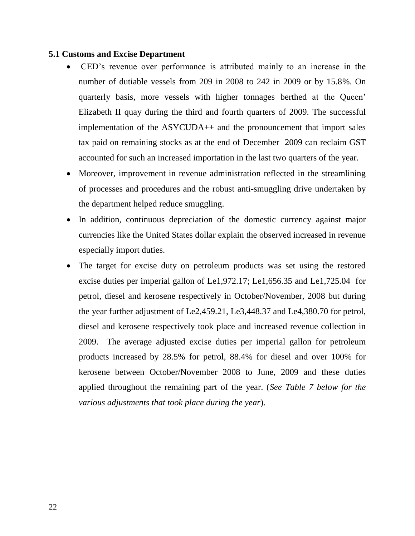### **5.1 Customs and Excise Department**

- CED's revenue over performance is attributed mainly to an increase in the number of dutiable vessels from 209 in 2008 to 242 in 2009 or by 15.8%. On quarterly basis, more vessels with higher tonnages berthed at the Queen' Elizabeth II quay during the third and fourth quarters of 2009. The successful implementation of the ASYCUDA++ and the pronouncement that import sales tax paid on remaining stocks as at the end of December 2009 can reclaim GST accounted for such an increased importation in the last two quarters of the year.
- Moreover, improvement in revenue administration reflected in the streamlining of processes and procedures and the robust anti-smuggling drive undertaken by the department helped reduce smuggling.
- In addition, continuous depreciation of the domestic currency against major currencies like the United States dollar explain the observed increased in revenue especially import duties.
- The target for excise duty on petroleum products was set using the restored excise duties per imperial gallon of Le1,972.17; Le1,656.35 and Le1,725.04 for petrol, diesel and kerosene respectively in October/November, 2008 but during the year further adjustment of Le2,459.21, Le3,448.37 and Le4,380.70 for petrol, diesel and kerosene respectively took place and increased revenue collection in 2009. The average adjusted excise duties per imperial gallon for petroleum products increased by 28.5% for petrol, 88.4% for diesel and over 100% for kerosene between October/November 2008 to June, 2009 and these duties applied throughout the remaining part of the year. (*See Table 7 below for the various adjustments that took place during the year*).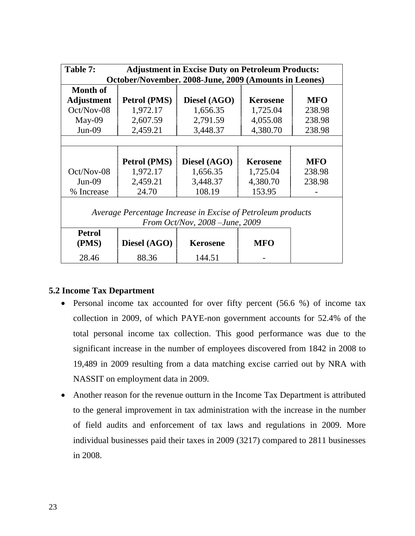| Table 7:<br><b>Adjustment in Excise Duty on Petroleum Products:</b> |              |                                                             |                 |            |  |  |  |
|---------------------------------------------------------------------|--------------|-------------------------------------------------------------|-----------------|------------|--|--|--|
| October/November. 2008-June, 2009 (Amounts in Leones)               |              |                                                             |                 |            |  |  |  |
| <b>Month of</b>                                                     |              |                                                             |                 |            |  |  |  |
| <b>Adjustment</b>                                                   | Petrol (PMS) | Diesel (AGO)                                                | <b>Kerosene</b> | <b>MFO</b> |  |  |  |
| $Oct/Nov-08$                                                        | 1,972.17     | 1,656.35                                                    | 1,725.04        | 238.98     |  |  |  |
| $May-09$                                                            | 2,607.59     | 2,791.59                                                    | 4,055.08        | 238.98     |  |  |  |
| $Jun-09$                                                            | 2,459.21     | 3,448.37                                                    | 4,380.70        | 238.98     |  |  |  |
|                                                                     |              |                                                             |                 |            |  |  |  |
|                                                                     |              |                                                             |                 |            |  |  |  |
|                                                                     | Petrol (PMS) | Diesel (AGO)                                                | <b>Kerosene</b> | <b>MFO</b> |  |  |  |
| $Oct/Nov-08$                                                        | 1,972.17     | 1,656.35                                                    | 1,725.04        | 238.98     |  |  |  |
| $Jun-09$                                                            | 2,459.21     | 3,448.37                                                    | 4,380.70        | 238.98     |  |  |  |
| % Increase                                                          | 24.70        | 108.19                                                      | 153.95          |            |  |  |  |
|                                                                     |              |                                                             |                 |            |  |  |  |
|                                                                     |              | Average Percentage Increase in Excise of Petroleum products |                 |            |  |  |  |
| From Oct/Nov, $2008$ – June, $2009$                                 |              |                                                             |                 |            |  |  |  |
| <b>Petrol</b>                                                       |              |                                                             |                 |            |  |  |  |
| (PMS)                                                               | Diesel (AGO) | <b>Kerosene</b>                                             | <b>MFO</b>      |            |  |  |  |
| 28.46                                                               | 88.36        | 144.51                                                      |                 |            |  |  |  |

## <span id="page-22-0"></span>**5.2 Income Tax Department**

- Personal income tax accounted for over fifty percent (56.6 %) of income tax collection in 2009, of which PAYE-non government accounts for 52.4% of the total personal income tax collection. This good performance was due to the significant increase in the number of employees discovered from 1842 in 2008 to 19,489 in 2009 resulting from a data matching excise carried out by NRA with NASSIT on employment data in 2009.
- Another reason for the revenue outturn in the Income Tax Department is attributed to the general improvement in tax administration with the increase in the number of field audits and enforcement of tax laws and regulations in 2009. More individual businesses paid their taxes in 2009 (3217) compared to 2811 businesses in 2008.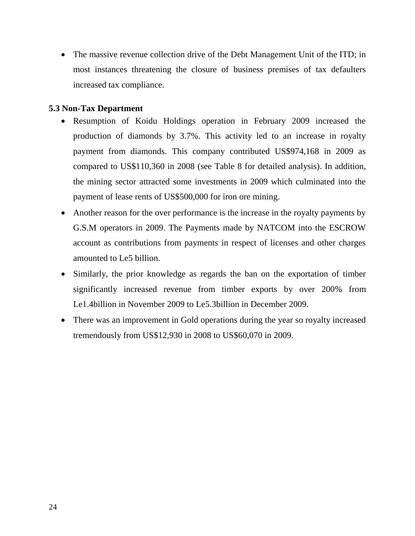• The massive revenue collection drive of the Debt Management Unit of the ITD; in most instances threatening the closure of business premises of tax defaulters increased tax compliance.

## <span id="page-23-0"></span>**5.3 Non-Tax Department**

- Resumption of Koidu Holdings operation in February 2009 increased the production of diamonds by 3.7%. This activity led to an increase in royalty payment from diamonds. This company contributed US\$974,168 in 2009 as compared to US\$110,360 in 2008 (see Table 8 for detailed analysis). In addition, the mining sector attracted some investments in 2009 which culminated into the payment of lease rents of US\$500,000 for iron ore mining.
- Another reason for the over performance is the increase in the royalty payments by G.S.M operators in 2009. The Payments made by NATCOM into the ESCROW account as contributions from payments in respect of licenses and other charges amounted to Le5 billion.
- Similarly, the prior knowledge as regards the ban on the exportation of timber significantly increased revenue from timber exports by over 200% from Le1.4billion in November 2009 to Le5.3billion in December 2009.
- There was an improvement in Gold operations during the year so royalty increased tremendously from US\$12,930 in 2008 to US\$60,070 in 2009.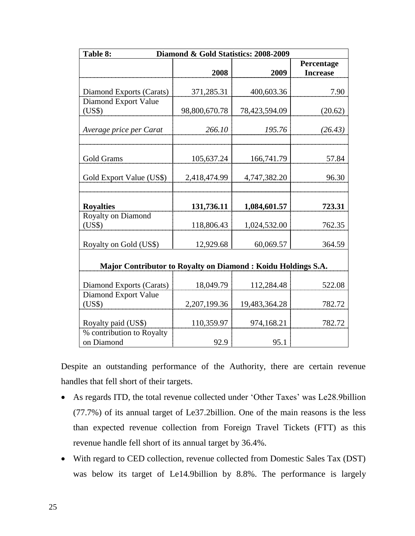| Table 8:<br>Diamond & Gold Statistics: 2008-2009             |                 |               |                               |  |  |
|--------------------------------------------------------------|-----------------|---------------|-------------------------------|--|--|
|                                                              | 2008            | 2009          | Percentage<br><b>Increase</b> |  |  |
| Diamond Exports (Carats)                                     | 371,285.31      | 400,603.36    | 7.90                          |  |  |
| Diamond Export Value<br>(US\$)                               | 98,800,670.78   | 78,423,594.09 | (20.62)                       |  |  |
| Average price per Carat                                      | 266.10          | 195.76        | (26.43)                       |  |  |
| Gold Grams                                                   | 105,637.24      | 166,741.79    | 57.84                         |  |  |
| Gold Export Value (US\$)                                     | 2,418,474.99    | 4,747,382.20  | 96.30                         |  |  |
| <b>Royalties</b>                                             | 131,736.11      | 1,084,601.57  | 723.31                        |  |  |
| Royalty on Diamond<br>(US\$)                                 | 118,806.43      | 1,024,532.00  | 762.35                        |  |  |
| Royalty on Gold (US\$)                                       | 12,929.68       | 60,069.57     | 364.59                        |  |  |
| Major Contributor to Royalty on Diamond: Koidu Holdings S.A. |                 |               |                               |  |  |
| Diamond Exports (Carats)                                     | 18,049.79       | 112,284.48    | 522.08                        |  |  |
| Diamond Export Value<br>(US\$)                               | 2, 207, 199. 36 | 19,483,364.28 | 782.72                        |  |  |
| Royalty paid (US\$)                                          | 110,359.97      | 974,168.21    | 782.72                        |  |  |
| % contribution to Royalty<br>on Diamond                      | 92.9            | 95.1          |                               |  |  |

Despite an outstanding performance of the Authority, there are certain revenue handles that fell short of their targets.

- As regards ITD, the total revenue collected under 'Other Taxes' was Le28.9billion (77.7%) of its annual target of Le37.2billion. One of the main reasons is the less than expected revenue collection from Foreign Travel Tickets (FTT) as this revenue handle fell short of its annual target by 36.4%.
- With regard to CED collection, revenue collected from Domestic Sales Tax (DST) was below its target of Le14.9billion by 8.8%. The performance is largely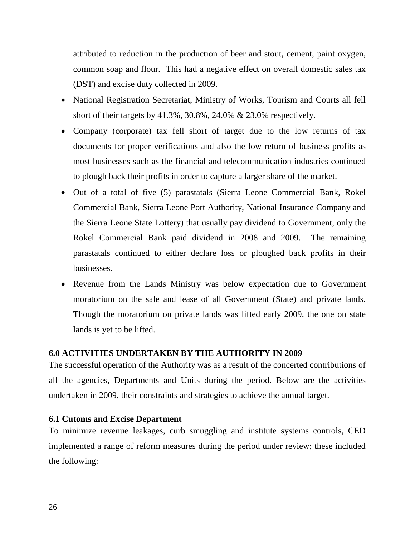attributed to reduction in the production of beer and stout, cement, paint oxygen, common soap and flour. This had a negative effect on overall domestic sales tax (DST) and excise duty collected in 2009.

- National Registration Secretariat, Ministry of Works, Tourism and Courts all fell short of their targets by 41.3%, 30.8%, 24.0% & 23.0% respectively.
- Company (corporate) tax fell short of target due to the low returns of tax documents for proper verifications and also the low return of business profits as most businesses such as the financial and telecommunication industries continued to plough back their profits in order to capture a larger share of the market.
- Out of a total of five (5) parastatals (Sierra Leone Commercial Bank, Rokel Commercial Bank, Sierra Leone Port Authority, National Insurance Company and the Sierra Leone State Lottery) that usually pay dividend to Government, only the Rokel Commercial Bank paid dividend in 2008 and 2009. The remaining parastatals continued to either declare loss or ploughed back profits in their businesses.
- Revenue from the Lands Ministry was below expectation due to Government moratorium on the sale and lease of all Government (State) and private lands. Though the moratorium on private lands was lifted early 2009, the one on state lands is yet to be lifted.

## <span id="page-25-0"></span>**6.0 ACTIVITIES UNDERTAKEN BY THE AUTHORITY IN 2009**

The successful operation of the Authority was as a result of the concerted contributions of all the agencies, Departments and Units during the period. Below are the activities undertaken in 2009, their constraints and strategies to achieve the annual target.

## <span id="page-25-1"></span>**6.1 Cutoms and Excise Department**

To minimize revenue leakages, curb smuggling and institute systems controls, CED implemented a range of reform measures during the period under review; these included the following: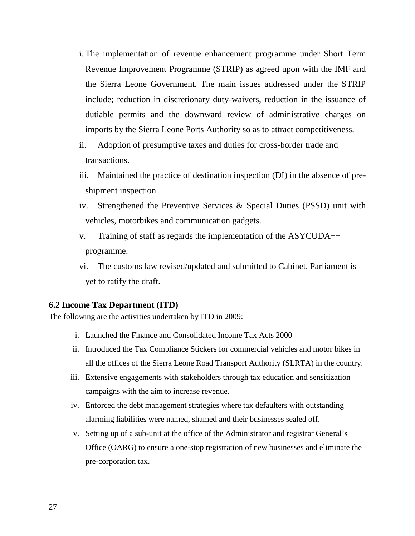- i. The implementation of revenue enhancement programme under Short Term Revenue Improvement Programme (STRIP) as agreed upon with the IMF and the Sierra Leone Government. The main issues addressed under the STRIP include; reduction in discretionary duty-waivers, reduction in the issuance of dutiable permits and the downward review of administrative charges on imports by the Sierra Leone Ports Authority so as to attract competitiveness.
- ii. Adoption of presumptive taxes and duties for cross-border trade and transactions.
- iii. Maintained the practice of destination inspection (DI) in the absence of preshipment inspection.
- iv. Strengthened the Preventive Services & Special Duties (PSSD) unit with vehicles, motorbikes and communication gadgets.
- v. Training of staff as regards the implementation of the ASYCUDA++ programme.
- vi. The customs law revised/updated and submitted to Cabinet. Parliament is yet to ratify the draft.

#### <span id="page-26-0"></span>**6.2 Income Tax Department (ITD)**

The following are the activities undertaken by ITD in 2009:

- i. Launched the Finance and Consolidated Income Tax Acts 2000
- ii. Introduced the Tax Compliance Stickers for commercial vehicles and motor bikes in all the offices of the Sierra Leone Road Transport Authority (SLRTA) in the country.
- iii. Extensive engagements with stakeholders through tax education and sensitization campaigns with the aim to increase revenue.
- iv. Enforced the debt management strategies where tax defaulters with outstanding alarming liabilities were named, shamed and their businesses sealed off.
- v. Setting up of a sub-unit at the office of the Administrator and registrar General's Office (OARG) to ensure a one-stop registration of new businesses and eliminate the pre-corporation tax.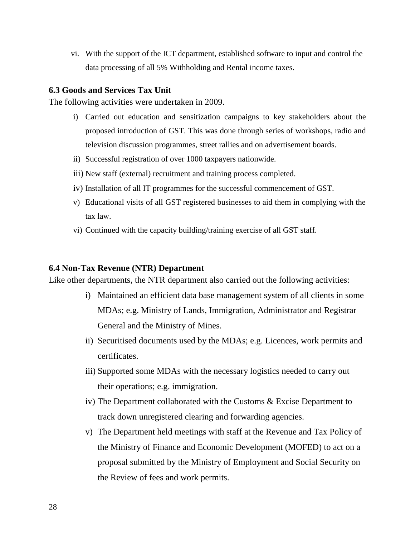vi. With the support of the ICT department, established software to input and control the data processing of all 5% Withholding and Rental income taxes.

### <span id="page-27-0"></span>**6.3 Goods and Services Tax Unit**

The following activities were undertaken in 2009.

- i) Carried out education and sensitization campaigns to key stakeholders about the proposed introduction of GST. This was done through series of workshops, radio and television discussion programmes, street rallies and on advertisement boards.
- ii) Successful registration of over 1000 taxpayers nationwide.
- iii) New staff (external) recruitment and training process completed.
- iv) Installation of all IT programmes for the successful commencement of GST.
- v) Educational visits of all GST registered businesses to aid them in complying with the tax law.
- vi) Continued with the capacity building/training exercise of all GST staff.

#### <span id="page-27-1"></span>**6.4 Non-Tax Revenue (NTR) Department**

Like other departments, the NTR department also carried out the following activities:

- i) Maintained an efficient data base management system of all clients in some MDAs; e.g. Ministry of Lands, Immigration, Administrator and Registrar General and the Ministry of Mines.
- ii) Securitised documents used by the MDAs; e.g. Licences, work permits and certificates.
- iii) Supported some MDAs with the necessary logistics needed to carry out their operations; e.g. immigration.
- iv) The Department collaborated with the Customs & Excise Department to track down unregistered clearing and forwarding agencies.
- v) The Department held meetings with staff at the Revenue and Tax Policy of the Ministry of Finance and Economic Development (MOFED) to act on a proposal submitted by the Ministry of Employment and Social Security on the Review of fees and work permits.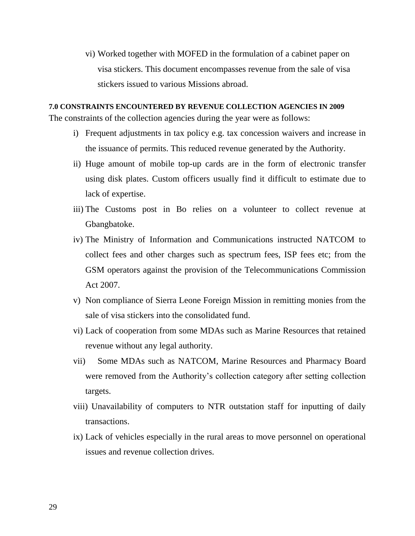vi) Worked together with MOFED in the formulation of a cabinet paper on visa stickers. This document encompasses revenue from the sale of visa stickers issued to various Missions abroad.

<span id="page-28-1"></span><span id="page-28-0"></span>**7.0 CONSTRAINTS ENCOUNTERED BY REVENUE COLLECTION AGENCIES IN 2009** The constraints of the collection agencies during the year were as follows:

- i) Frequent adjustments in tax policy e.g. tax concession waivers and increase in the issuance of permits. This reduced revenue generated by the Authority.
- ii) Huge amount of mobile top-up cards are in the form of electronic transfer using disk plates. Custom officers usually find it difficult to estimate due to lack of expertise.
- iii) The Customs post in Bo relies on a volunteer to collect revenue at Gbangbatoke.
- iv) The Ministry of Information and Communications instructed NATCOM to collect fees and other charges such as spectrum fees, ISP fees etc; from the GSM operators against the provision of the Telecommunications Commission Act 2007.
- v) Non compliance of Sierra Leone Foreign Mission in remitting monies from the sale of visa stickers into the consolidated fund.
- vi) Lack of cooperation from some MDAs such as Marine Resources that retained revenue without any legal authority.
- vii) Some MDAs such as NATCOM, Marine Resources and Pharmacy Board were removed from the Authority's collection category after setting collection targets.
- viii) Unavailability of computers to NTR outstation staff for inputting of daily transactions.
- ix) Lack of vehicles especially in the rural areas to move personnel on operational issues and revenue collection drives.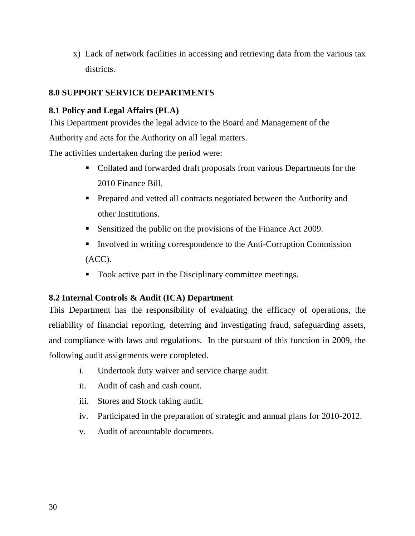x) Lack of network facilities in accessing and retrieving data from the various tax districts.

# <span id="page-29-0"></span>**8.0 SUPPORT SERVICE DEPARTMENTS**

# <span id="page-29-2"></span><span id="page-29-1"></span>**8.1 Policy and Legal Affairs (PLA)**

This Department provides the legal advice to the Board and Management of the

Authority and acts for the Authority on all legal matters.

The activities undertaken during the period were:

- Collated and forwarded draft proposals from various Departments for the 2010 Finance Bill.
- **Prepared and vetted all contracts negotiated between the Authority and** other Institutions.
- Sensitized the public on the provisions of the Finance Act 2009.
- Involved in writing correspondence to the Anti-Corruption Commission (ACC).
- Took active part in the Disciplinary committee meetings.

## <span id="page-29-4"></span><span id="page-29-3"></span>**8.2 Internal Controls & Audit (ICA) Department**

This Department has the responsibility of evaluating the efficacy of operations, the reliability of financial reporting, deterring and investigating fraud, safeguarding assets, and compliance with laws and regulations. In the pursuant of this function in 2009, the following audit assignments were completed.

- i. Undertook duty waiver and service charge audit.
- ii. Audit of cash and cash count.
- iii. Stores and Stock taking audit.
- iv. Participated in the preparation of strategic and annual plans for 2010-2012.
- <span id="page-29-5"></span>v. Audit of accountable documents.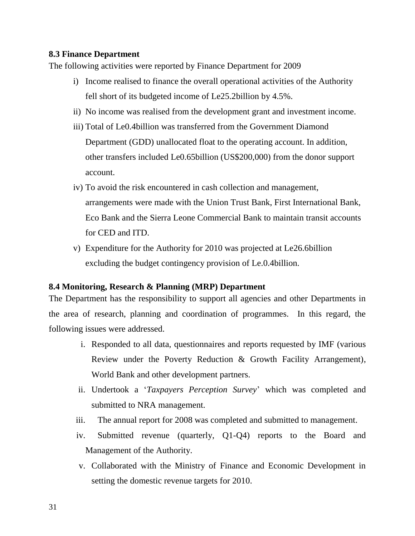## **8.3 Finance Department**

The following activities were reported by Finance Department for 2009

- i) Income realised to finance the overall operational activities of the Authority fell short of its budgeted income of Le25.2billion by 4.5%.
- ii) No income was realised from the development grant and investment income.
- iii) Total of Le0.4billion was transferred from the Government Diamond Department (GDD) unallocated float to the operating account. In addition, other transfers included Le0.65billion (US\$200,000) from the donor support account.
- iv) To avoid the risk encountered in cash collection and management, arrangements were made with the Union Trust Bank, First International Bank, Eco Bank and the Sierra Leone Commercial Bank to maintain transit accounts for CED and ITD.
- v) Expenditure for the Authority for 2010 was projected at Le26.6billion excluding the budget contingency provision of Le.0.4billion.

### <span id="page-30-0"></span>**8.4 Monitoring, Research & Planning (MRP) Department**

The Department has the responsibility to support all agencies and other Departments in the area of research, planning and coordination of programmes. In this regard, the following issues were addressed.

- i. Responded to all data, questionnaires and reports requested by IMF (various Review under the Poverty Reduction & Growth Facility Arrangement), World Bank and other development partners.
- ii. Undertook a '*Taxpayers Perception Survey*' which was completed and submitted to NRA management.
- iii. The annual report for 2008 was completed and submitted to management.
- iv. Submitted revenue (quarterly, Q1-Q4) reports to the Board and Management of the Authority.
- v. Collaborated with the Ministry of Finance and Economic Development in setting the domestic revenue targets for 2010.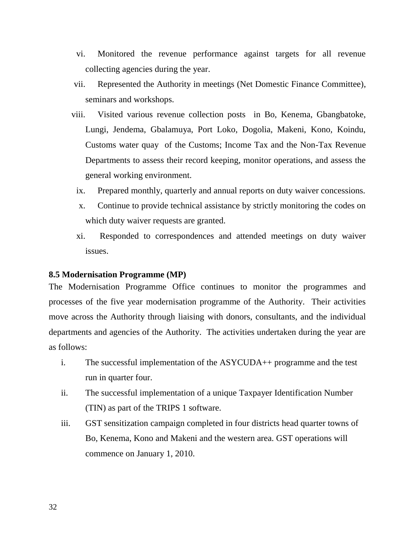- vi. Monitored the revenue performance against targets for all revenue collecting agencies during the year.
- vii. Represented the Authority in meetings (Net Domestic Finance Committee), seminars and workshops.
- viii. Visited various revenue collection posts in Bo, Kenema, Gbangbatoke, Lungi, Jendema, Gbalamuya, Port Loko, Dogolia, Makeni, Kono, Koindu, Customs water quay of the Customs; Income Tax and the Non-Tax Revenue Departments to assess their record keeping, monitor operations, and assess the general working environment.
	- ix. Prepared monthly, quarterly and annual reports on duty waiver concessions.
	- x. Continue to provide technical assistance by strictly monitoring the codes on which duty waiver requests are granted.
	- xi. Responded to correspondences and attended meetings on duty waiver issues.

### <span id="page-31-0"></span>**8.5 Modernisation Programme (MP)**

The Modernisation Programme Office continues to monitor the programmes and processes of the five year modernisation programme of the Authority. Their activities move across the Authority through liaising with donors, consultants, and the individual departments and agencies of the Authority. The activities undertaken during the year are as follows:

- i. The successful implementation of the ASYCUDA++ programme and the test run in quarter four.
- ii. The successful implementation of a unique Taxpayer Identification Number (TIN) as part of the TRIPS 1 software.
- iii. GST sensitization campaign completed in four districts head quarter towns of Bo, Kenema, Kono and Makeni and the western area. GST operations will commence on January 1, 2010.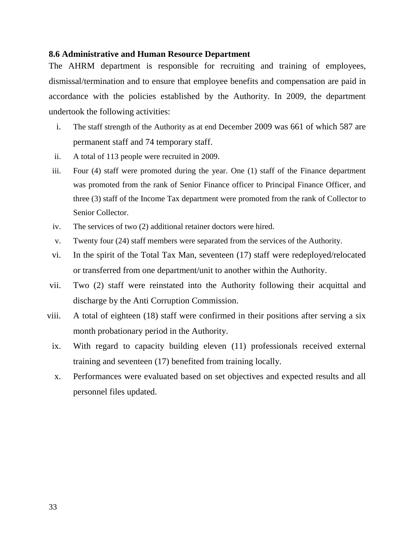### <span id="page-32-0"></span>**8.6 Administrative and Human Resource Department**

The AHRM department is responsible for recruiting and training of employees, dismissal/termination and to ensure that employee benefits and compensation are paid in accordance with the policies established by the Authority. In 2009, the department undertook the following activities:

- i. The staff strength of the Authority as at end December 2009 was 661 of which 587 are permanent staff and 74 temporary staff.
- ii. A total of 113 people were recruited in 2009.
- iii. Four (4) staff were promoted during the year. One (1) staff of the Finance department was promoted from the rank of Senior Finance officer to Principal Finance Officer, and three (3) staff of the Income Tax department were promoted from the rank of Collector to Senior Collector.
- iv. The services of two (2) additional retainer doctors were hired.
- v. Twenty four (24) staff members were separated from the services of the Authority.
- vi. In the spirit of the Total Tax Man, seventeen (17) staff were redeployed/relocated or transferred from one department/unit to another within the Authority.
- vii. Two (2) staff were reinstated into the Authority following their acquittal and discharge by the Anti Corruption Commission.
- viii. A total of eighteen (18) staff were confirmed in their positions after serving a six month probationary period in the Authority.
- ix. With regard to capacity building eleven (11) professionals received external training and seventeen (17) benefited from training locally.
- <span id="page-32-1"></span>x. Performances were evaluated based on set objectives and expected results and all personnel files updated.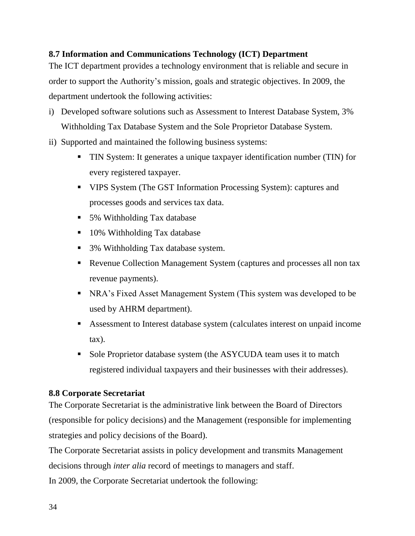## **8.7 Information and Communications Technology (ICT) Department**

The ICT department provides a technology environment that is reliable and secure in order to support the Authority's mission, goals and strategic objectives. In 2009, the department undertook the following activities:

- i) Developed software solutions such as Assessment to Interest Database System, 3% Withholding Tax Database System and the Sole Proprietor Database System.
- ii) Supported and maintained the following business systems:
	- TIN System: It generates a unique taxpayer identification number (TIN) for every registered taxpayer.
	- VIPS System (The GST Information Processing System): captures and processes goods and services tax data.
	- 5% Withholding Tax database
	- 10% Withholding Tax database
	- 3% Withholding Tax database system.
	- Revenue Collection Management System (captures and processes all non tax revenue payments).
	- NRA's Fixed Asset Management System (This system was developed to be used by AHRM department).
	- Assessment to Interest database system (calculates interest on unpaid income tax).
	- Sole Proprietor database system (the ASYCUDA team uses it to match registered individual taxpayers and their businesses with their addresses).

### <span id="page-33-0"></span>**8.8 Corporate Secretariat**

The Corporate Secretariat is the administrative link between the Board of Directors (responsible for policy decisions) and the Management (responsible for implementing strategies and policy decisions of the Board).

The Corporate Secretariat assists in policy development and transmits Management decisions through *inter alia* record of meetings to managers and staff. In 2009, the Corporate Secretariat undertook the following: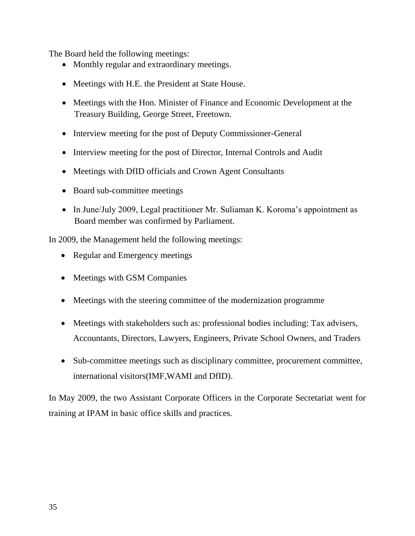The Board held the following meetings:

- Monthly regular and extraordinary meetings.
- Meetings with H.E. the President at State House.
- Meetings with the Hon. Minister of Finance and Economic Development at the Treasury Building, George Street, Freetown.
- Interview meeting for the post of Deputy Commissioner-General
- Interview meeting for the post of Director, Internal Controls and Audit
- Meetings with DfID officials and Crown Agent Consultants
- Board sub-committee meetings
- In June/July 2009, Legal practitioner Mr. Suliaman K. Koroma's appointment as Board member was confirmed by Parliament.

In 2009, the Management held the following meetings:

- Regular and Emergency meetings
- Meetings with GSM Companies
- Meetings with the steering committee of the modernization programme
- Meetings with stakeholders such as: professional bodies including: Tax advisers, Accountants, Directors, Lawyers, Engineers, Private School Owners, and Traders
- Sub-committee meetings such as disciplinary committee, procurement committee, international visitors(IMF,WAMI and DfID).

<span id="page-34-0"></span>In May 2009, the two Assistant Corporate Officers in the Corporate Secretariat went for training at IPAM in basic office skills and practices.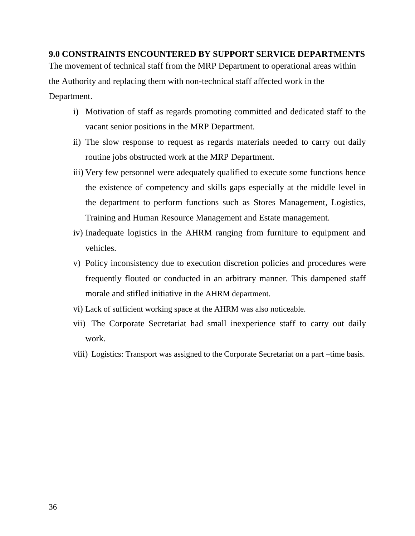## **9.0 CONSTRAINTS ENCOUNTERED BY SUPPORT SERVICE DEPARTMENTS**

The movement of technical staff from the MRP Department to operational areas within the Authority and replacing them with non-technical staff affected work in the Department.

- i) Motivation of staff as regards promoting committed and dedicated staff to the vacant senior positions in the MRP Department.
- ii) The slow response to request as regards materials needed to carry out daily routine jobs obstructed work at the MRP Department.
- iii) Very few personnel were adequately qualified to execute some functions hence the existence of competency and skills gaps especially at the middle level in the department to perform functions such as Stores Management, Logistics, Training and Human Resource Management and Estate management.
- iv) Inadequate logistics in the AHRM ranging from furniture to equipment and vehicles.
- v) Policy inconsistency due to execution discretion policies and procedures were frequently flouted or conducted in an arbitrary manner. This dampened staff morale and stifled initiative in the AHRM department.
- vi) Lack of sufficient working space at the AHRM was also noticeable.
- vii) The Corporate Secretariat had small inexperience staff to carry out daily work.
- viii) Logistics: Transport was assigned to the Corporate Secretariat on a part –time basis.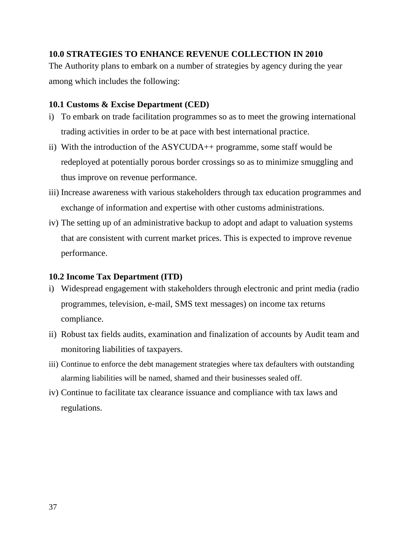## <span id="page-36-0"></span>**10.0 STRATEGIES TO ENHANCE REVENUE COLLECTION IN 2010**

The Authority plans to embark on a number of strategies by agency during the year among which includes the following:

## <span id="page-36-1"></span>**10.1 Customs & Excise Department (CED)**

- i) To embark on trade facilitation programmes so as to meet the growing international trading activities in order to be at pace with best international practice.
- ii) With the introduction of the ASYCUDA++ programme, some staff would be redeployed at potentially porous border crossings so as to minimize smuggling and thus improve on revenue performance.
- iii) Increase awareness with various stakeholders through tax education programmes and exchange of information and expertise with other customs administrations.
- iv) The setting up of an administrative backup to adopt and adapt to valuation systems that are consistent with current market prices. This is expected to improve revenue performance.

## <span id="page-36-2"></span>**10.2 Income Tax Department (ITD)**

- i) Widespread engagement with stakeholders through electronic and print media (radio programmes, television, e-mail, SMS text messages) on income tax returns compliance.
- ii) Robust tax fields audits, examination and finalization of accounts by Audit team and monitoring liabilities of taxpayers.
- iii) Continue to enforce the debt management strategies where tax defaulters with outstanding alarming liabilities will be named, shamed and their businesses sealed off.
- <span id="page-36-3"></span>iv) Continue to facilitate tax clearance issuance and compliance with tax laws and regulations.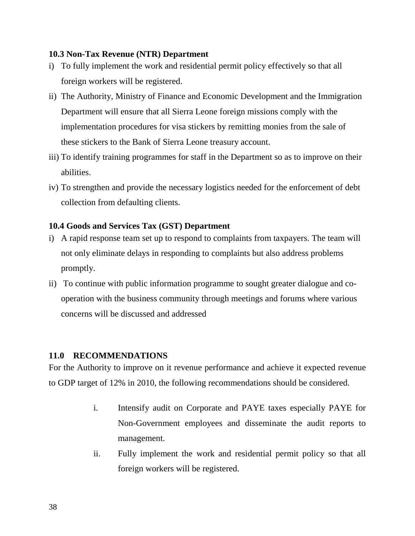## **10.3 Non-Tax Revenue (NTR) Department**

- i) To fully implement the work and residential permit policy effectively so that all foreign workers will be registered.
- ii) The Authority, Ministry of Finance and Economic Development and the Immigration Department will ensure that all Sierra Leone foreign missions comply with the implementation procedures for visa stickers by remitting monies from the sale of these stickers to the Bank of Sierra Leone treasury account.
- iii) To identify training programmes for staff in the Department so as to improve on their abilities.
- iv) To strengthen and provide the necessary logistics needed for the enforcement of debt collection from defaulting clients.

## <span id="page-37-0"></span>**10.4 Goods and Services Tax (GST) Department**

- i) A rapid response team set up to respond to complaints from taxpayers. The team will not only eliminate delays in responding to complaints but also address problems promptly.
- ii) To continue with public information programme to sought greater dialogue and cooperation with the business community through meetings and forums where various concerns will be discussed and addressed

## <span id="page-37-1"></span>**11.0 RECOMMENDATIONS**

For the Authority to improve on it revenue performance and achieve it expected revenue to GDP target of 12% in 2010, the following recommendations should be considered.

- i. Intensify audit on Corporate and PAYE taxes especially PAYE for Non-Government employees and disseminate the audit reports to management.
- ii. Fully implement the work and residential permit policy so that all foreign workers will be registered.